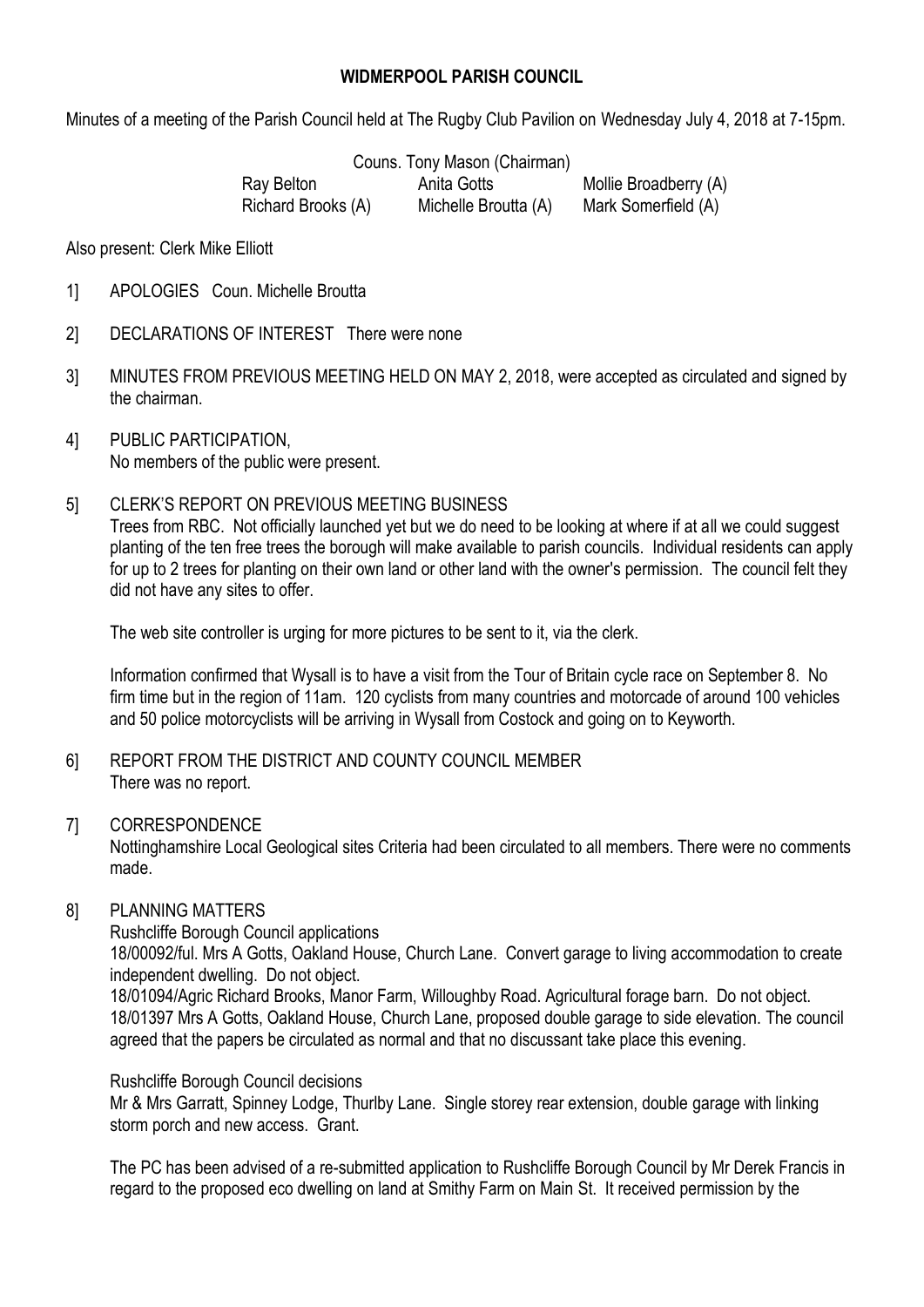## **WIDMERPOOL PARISH COUNCIL**

Minutes of a meeting of the Parish Council held at The Rugby Club Pavilion on Wednesday July 4, 2018 at 7-15pm.

Couns. Tony Mason (Chairman)

Ray Belton **Anita Gotts** Mollie Broadberry (A) Richard Brooks (A) Michelle Broutta (A) Mark Somerfield (A)

Also present: Clerk Mike Elliott

- 1] APOLOGIES Coun. Michelle Broutta
- 2] DECLARATIONS OF INTEREST There were none
- 3] MINUTES FROM PREVIOUS MEETING HELD ON MAY 2, 2018, were accepted as circulated and signed by the chairman.
- 4] PUBLIC PARTICIPATION, No members of the public were present.
- 5] CLERK'S REPORT ON PREVIOUS MEETING BUSINESS

Trees from RBC. Not officially launched yet but we do need to be looking at where if at all we could suggest planting of the ten free trees the borough will make available to parish councils. Individual residents can apply for up to 2 trees for planting on their own land or other land with the owner's permission. The council felt they did not have any sites to offer.

The web site controller is urging for more pictures to be sent to it, via the clerk.

Information confirmed that Wysall is to have a visit from the Tour of Britain cycle race on September 8. No firm time but in the region of 11am. 120 cyclists from many countries and motorcade of around 100 vehicles and 50 police motorcyclists will be arriving in Wysall from Costock and going on to Keyworth.

6] REPORT FROM THE DISTRICT AND COUNTY COUNCIL MEMBER There was no report.

#### 7] CORRESPONDENCE

Nottinghamshire Local Geological sites Criteria had been circulated to all members. There were no comments made.

## 8] PLANNING MATTERS

Rushcliffe Borough Council applications 18/00092/ful. Mrs A Gotts, Oakland House, Church Lane. Convert garage to living accommodation to create independent dwelling. Do not object. 18/01094/Agric Richard Brooks, Manor Farm, Willoughby Road. Agricultural forage barn. Do not object.

18/01397 Mrs A Gotts, Oakland House, Church Lane, proposed double garage to side elevation. The council agreed that the papers be circulated as normal and that no discussant take place this evening.

#### Rushcliffe Borough Council decisions

Mr & Mrs Garratt, Spinney Lodge, Thurlby Lane. Single storey rear extension, double garage with linking storm porch and new access. Grant.

The PC has been advised of a re-submitted application to Rushcliffe Borough Council by Mr Derek Francis in regard to the proposed eco dwelling on land at Smithy Farm on Main St. It received permission by the